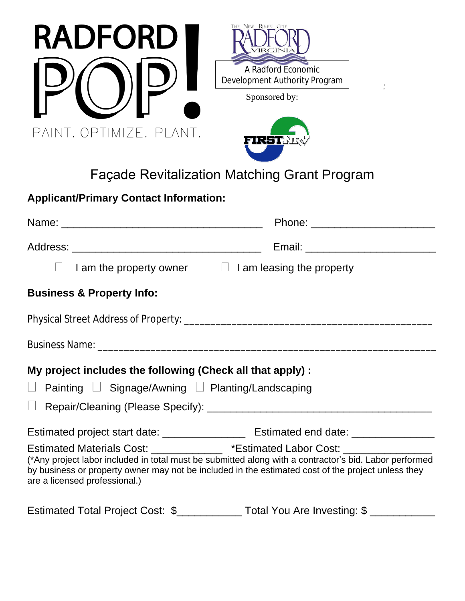| The New River City<br><b>RADFORD</b><br>A Radford Economic<br>Development Authority Program<br>Sponsored by:<br>PAINT. OPTIMIZE. PLANT.<br>FIRSTE                                                                                                                                                                                  |  |  |  |  |  |
|------------------------------------------------------------------------------------------------------------------------------------------------------------------------------------------------------------------------------------------------------------------------------------------------------------------------------------|--|--|--|--|--|
| Façade Revitalization Matching Grant Program                                                                                                                                                                                                                                                                                       |  |  |  |  |  |
| <b>Applicant/Primary Contact Information:</b>                                                                                                                                                                                                                                                                                      |  |  |  |  |  |
|                                                                                                                                                                                                                                                                                                                                    |  |  |  |  |  |
|                                                                                                                                                                                                                                                                                                                                    |  |  |  |  |  |
| I am the property owner $\Box$ I am leasing the property                                                                                                                                                                                                                                                                           |  |  |  |  |  |
| <b>Business &amp; Property Info:</b>                                                                                                                                                                                                                                                                                               |  |  |  |  |  |
|                                                                                                                                                                                                                                                                                                                                    |  |  |  |  |  |
| <b>Business Name:</b>                                                                                                                                                                                                                                                                                                              |  |  |  |  |  |
| My project includes the following (Check all that apply) :<br>Painting □ Signage/Awning □ Planting/Landscaping                                                                                                                                                                                                                     |  |  |  |  |  |
|                                                                                                                                                                                                                                                                                                                                    |  |  |  |  |  |
| Estimated Materials Cost: _______________*Estimated Labor Cost: _________________<br>(*Any project labor included in total must be submitted along with a contractor's bid. Labor performed<br>by business or property owner may not be included in the estimated cost of the project unless they<br>are a licensed professional.) |  |  |  |  |  |
| Estimated Total Project Cost: \$______________Total You Are Investing: \$ _________                                                                                                                                                                                                                                                |  |  |  |  |  |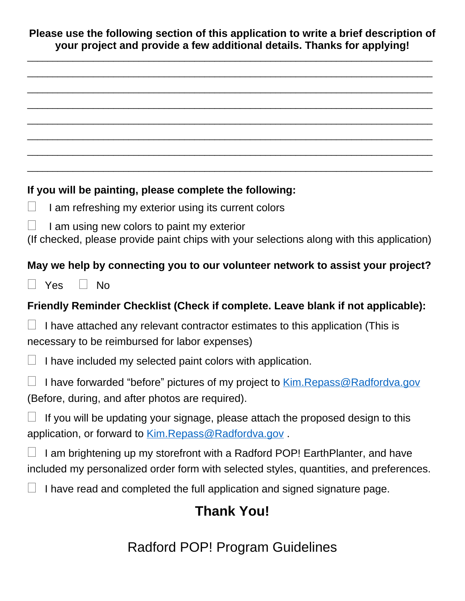**Please use the following section of this application to write a brief description of your project and provide a few additional details. Thanks for applying!**

| If you will be painting, please complete the following:                                                                                              |  |  |  |  |
|------------------------------------------------------------------------------------------------------------------------------------------------------|--|--|--|--|
| I am refreshing my exterior using its current colors                                                                                                 |  |  |  |  |
| I am using new colors to paint my exterior                                                                                                           |  |  |  |  |
| (If checked, please provide paint chips with your selections along with this application)                                                            |  |  |  |  |
| May we help by connecting you to our volunteer network to assist your project?                                                                       |  |  |  |  |
| $\Box$ Yes<br>- No                                                                                                                                   |  |  |  |  |
| Friendly Reminder Checklist (Check if complete. Leave blank if not applicable):                                                                      |  |  |  |  |
| I have attached any relevant contractor estimates to this application (This is                                                                       |  |  |  |  |
| necessary to be reimbursed for labor expenses)                                                                                                       |  |  |  |  |
| I have included my selected paint colors with application.                                                                                           |  |  |  |  |
| $\Box$<br>I have forwarded "before" pictures of my project to <b>Kim. Repass @ Radfordva.gov</b><br>(Before, during, and after photos are required). |  |  |  |  |
|                                                                                                                                                      |  |  |  |  |
| If you will be updating your signage, please attach the proposed design to this<br>$\Box$<br>application, or forward to Kim.Repass@Radfordva.gov.    |  |  |  |  |
| I am brightening up my storefront with a Radford POP! EarthPlanter, and have                                                                         |  |  |  |  |
| included my personalized order form with selected styles, quantities, and preferences.                                                               |  |  |  |  |
| I have read and completed the full application and signed signature page.                                                                            |  |  |  |  |
| <b>Thank You!</b>                                                                                                                                    |  |  |  |  |
|                                                                                                                                                      |  |  |  |  |

Radford POP! Program Guidelines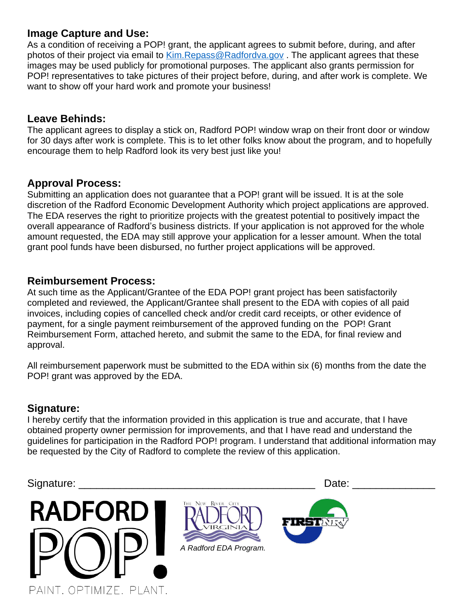## **Image Capture and Use:**

As a condition of receiving a POP! grant, the applicant agrees to submit before, during, and after photos of their project via email to Kim.Repass@Radfordva.gov. The applicant agrees that these images may be used publicly for promotional purposes. The applicant also grants permission for POP! representatives to take pictures of their project before, during, and after work is complete. We want to show off your hard work and promote your business!

## **Leave Behinds:**

The applicant agrees to display a stick on, Radford POP! window wrap on their front door or window for 30 days after work is complete. This is to let other folks know about the program, and to hopefully encourage them to help Radford look its very best just like you!

## **Approval Process:**

Submitting an application does not guarantee that a POP! grant will be issued. It is at the sole discretion of the Radford Economic Development Authority which project applications are approved. The EDA reserves the right to prioritize projects with the greatest potential to positively impact the overall appearance of Radford's business districts. If your application is not approved for the whole amount requested, the EDA may still approve your application for a lesser amount. When the total grant pool funds have been disbursed, no further project applications will be approved.

#### **Reimbursement Process:**

At such time as the Applicant/Grantee of the EDA POP! grant project has been satisfactorily completed and reviewed, the Applicant/Grantee shall present to the EDA with copies of all paid invoices, including copies of cancelled check and/or credit card receipts, or other evidence of payment, for a single payment reimbursement of the approved funding on the POP! Grant Reimbursement Form, attached hereto, and submit the same to the EDA, for final review and approval.

All reimbursement paperwork must be submitted to the EDA within six (6) months from the date the POP! grant was approved by the EDA.

#### **Signature:**

I hereby certify that the information provided in this application is true and accurate, that I have obtained property owner permission for improvements, and that I have read and understand the guidelines for participation in the Radford POP! program. I understand that additional information may be requested by the City of Radford to complete the review of this application.